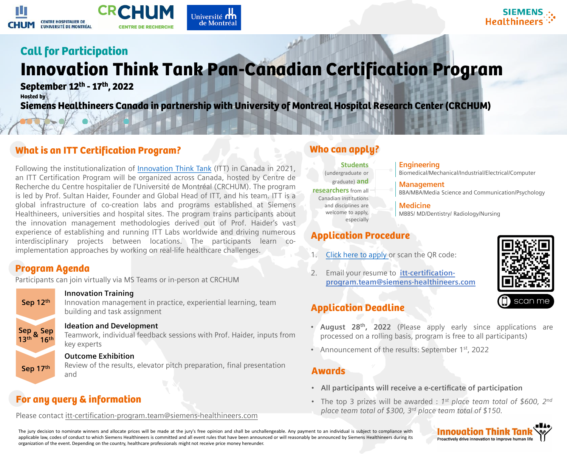## Program Agenda

Participants can join virtually via MS Teams or in-person at CRCHUM

## What is an ITT Certification Program?

Following the institutionalization of [Innovation](https://www.siemens-healthineers.com/careers/innovation-think-tank) Think Tank (ITT) in Canada in 2021, an ITT Certification Program will be organized across Canada, hosted by Centre de Recherche du Centre hospitalier de l'Université de Montréal (CRCHUM). The program is led by Prof. Sultan Haider, Founder and Global Head of ITT, and his team. ITT is a global infrastructure of co-creation labs and programs established at Siemens Healthineers, universities and hospital sites. The program trains participants about the innovation management methodologies derived out of Prof. Haider's vast experience of establishing and running ITT Labs worldwide and driving numerous interdisciplinary projects between locations. The participants learn coimplementation approaches by working on real-life healthcare challenges.

## Application Procedure

- 
- 

2. Email your resume to **itt-certification[program.team@siemens-healthineers.com](mailto:itt-certification-program.team@siemens-healthineers.com)**



## Application Deadline

- 
- 

• The top 3 prizes will be awarded : 1<sup>st</sup> place team total of \$600, 2<sup>nd</sup> *place team total of \$300, 3 rd place team total of \$150.*



• **August 28th , 2022** (Please apply early since applications are processed on a rolling basis, program is free to all participants)

• Announcement of the results: September 1<sup>st</sup>, 2022

**Innovation Training** Innovation management in practice, experiential learning, team building and task assignment **Sep 12th Ideation and Development** Teamwork, individual feedback sessions with Prof. Haider, inputs from key experts **Outcome Exhibition** Review of the results, elevator pitch preparation, final presentation and **Sep 13th Sep 17th Sep <sup>16</sup>th &**

The jury decision to nominate winners and allocate prices will be made at the jury's free opinion and shall be unchallengeable. Any payment to an individual is subject to compliance with applicable law, codes of conduct to which Siemens Healthineers is committed and all event rules that have been announced or will reasonably be announced by Siemens Healthineers during its organization of the event. Depending on the country, healthcare professionals might not receive price money hereunder.

# **Healthinee**

## For any query & information

Please contact [itt-certification-program.team@siemens-healthineers.com](mailto:itt-certification-program.team@siemens-healthineers.com)

## Who can apply?

**Engineering** Biomedical/Mechanical/Industrial/Electrical/Computer

**Management** BBA/MBA/Media Science and Communication/Psychology

**Medicine** MBBS/ MD/Dentistry/ Radiology/Nursing

[Click here to apply](https://forms.office.com/r/Udkjekcq0q) or scan the QR code:

**Students** 

(undergraduate or graduate) **and researchers** from all Canadian institutions and disciplines are welcome to apply, especially

## Awards

- 
- 

### • **All participants will receive a e-certificate of participation**







# **Call for Participation**  Innovation Think Tank Pan-Canadian Certification Program

**September 12th - 17th, 2022 Hosted by**

**Siemens Healthineers Canada in partnership with University of Montreal Hospital Research Center (CRCHUM)**